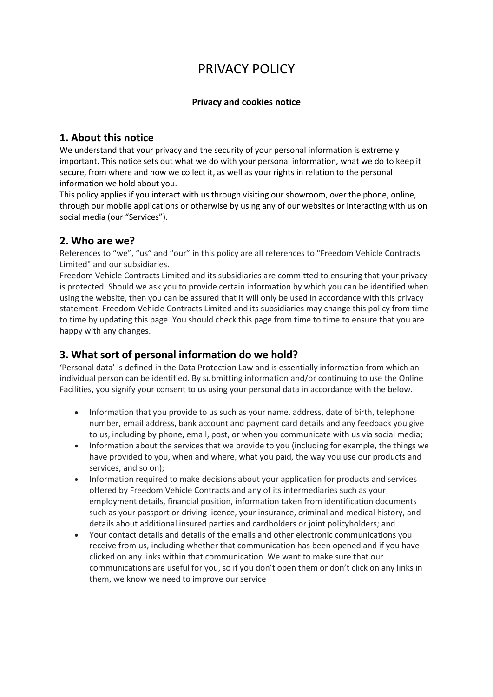# PRIVACY POLICY

#### **Privacy and cookies notice**

### **1. About this notice**

We understand that your privacy and the security of your personal information is extremely important. This notice sets out what we do with your personal information, what we do to keep it secure, from where and how we collect it, as well as your rights in relation to the personal information we hold about you.

This policy applies if you interact with us through visiting our showroom, over the phone, online, through our mobile applications or otherwise by using any of our websites or interacting with us on social media (our "Services").

### **2. Who are we?**

References to "we", "us" and "our" in this policy are all references to "Freedom Vehicle Contracts Limited" and our subsidiaries.

Freedom Vehicle Contracts Limited and its subsidiaries are committed to ensuring that your privacy is protected. Should we ask you to provide certain information by which you can be identified when using the website, then you can be assured that it will only be used in accordance with this privacy statement. Freedom Vehicle Contracts Limited and its subsidiaries may change this policy from time to time by updating this page. You should check this page from time to time to ensure that you are happy with any changes.

# **3. What sort of personal information do we hold?**

'Personal data' is defined in the Data Protection Law and is essentially information from which an individual person can be identified. By submitting information and/or continuing to use the Online Facilities, you signify your consent to us using your personal data in accordance with the below.

- Information that you provide to us such as your name, address, date of birth, telephone number, email address, bank account and payment card details and any feedback you give to us, including by phone, email, post, or when you communicate with us via social media;
- Information about the services that we provide to you (including for example, the things we have provided to you, when and where, what you paid, the way you use our products and services, and so on);
- Information required to make decisions about your application for products and services offered by Freedom Vehicle Contracts and any of its intermediaries such as your employment details, financial position, information taken from identification documents such as your passport or driving licence, your insurance, criminal and medical history, and details about additional insured parties and cardholders or joint policyholders; and
- Your contact details and details of the emails and other electronic communications you receive from us, including whether that communication has been opened and if you have clicked on any links within that communication. We want to make sure that our communications are useful for you, so if you don't open them or don't click on any links in them, we know we need to improve our service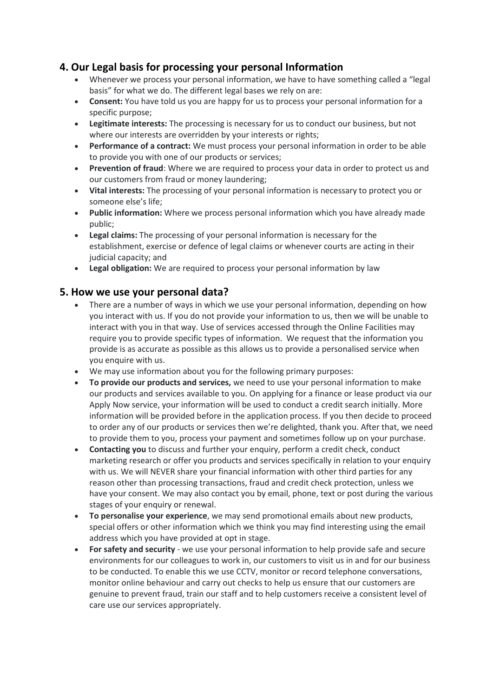### **4. Our Legal basis for processing your personal Information**

- Whenever we process your personal information, we have to have something called a "legal basis" for what we do. The different legal bases we rely on are:
- **Consent:** You have told us you are happy for us to process your personal information for a specific purpose;
- **Legitimate interests:** The processing is necessary for us to conduct our business, but not where our interests are overridden by your interests or rights;
- **Performance of a contract:** We must process your personal information in order to be able to provide you with one of our products or services;
- **Prevention of fraud**: Where we are required to process your data in order to protect us and our customers from fraud or money laundering;
- **Vital interests:** The processing of your personal information is necessary to protect you or someone else's life;
- **Public information:** Where we process personal information which you have already made public;
- **Legal claims:** The processing of your personal information is necessary for the establishment, exercise or defence of legal claims or whenever courts are acting in their judicial capacity; and
- **Legal obligation:** We are required to process your personal information by law

### **5. How we use your personal data?**

- There are a number of ways in which we use your personal information, depending on how you interact with us. If you do not provide your information to us, then we will be unable to interact with you in that way. Use of services accessed through the Online Facilities may require you to provide specific types of information. We request that the information you provide is as accurate as possible as this allows us to provide a personalised service when you enquire with us.
- We may use information about you for the following primary purposes:
- **To provide our products and services,** we need to use your personal information to make our products and services available to you. On applying for a finance or lease product via our Apply Now service, your information will be used to conduct a credit search initially. More information will be provided before in the application process. If you then decide to proceed to order any of our products or services then we're delighted, thank you. After that, we need to provide them to you, process your payment and sometimes follow up on your purchase.
- **Contacting you** to discuss and further your enquiry, perform a credit check, conduct marketing research or offer you products and services specifically in relation to your enquiry with us. We will NEVER share your financial information with other third parties for any reason other than processing transactions, fraud and credit check protection, unless we have your consent. We may also contact you by email, phone, text or post during the various stages of your enquiry or renewal.
- **To personalise your experience**, we may send promotional emails about new products, special offers or other information which we think you may find interesting using the email address which you have provided at opt in stage.
- **For safety and security** we use your personal information to help provide safe and secure environments for our colleagues to work in, our customers to visit us in and for our business to be conducted. To enable this we use CCTV, monitor or record telephone conversations, monitor online behaviour and carry out checks to help us ensure that our customers are genuine to prevent fraud, train our staff and to help customers receive a consistent level of care use our services appropriately.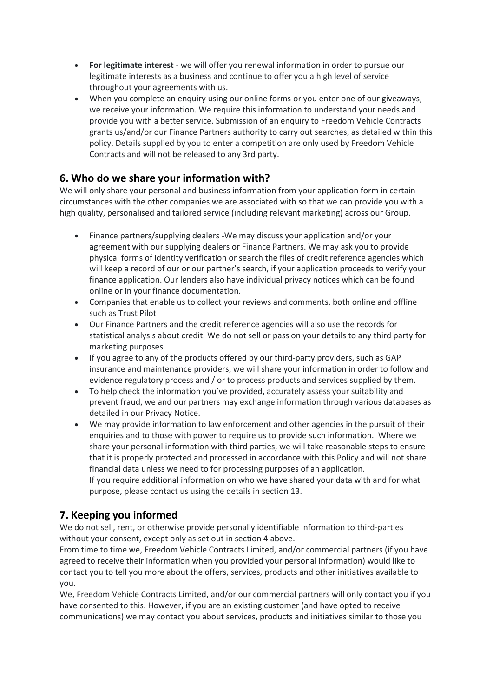- **For legitimate interest** we will offer you renewal information in order to pursue our legitimate interests as a business and continue to offer you a high level of service throughout your agreements with us.
- When you complete an enquiry using our online forms or you enter one of our giveaways, we receive your information. We require this information to understand your needs and provide you with a better service. Submission of an enquiry to Freedom Vehicle Contracts grants us/and/or our Finance Partners authority to carry out searches, as detailed within this policy. Details supplied by you to enter a competition are only used by Freedom Vehicle Contracts and will not be released to any 3rd party.

# **6. Who do we share your information with?**

We will only share your personal and business information from your application form in certain circumstances with the other companies we are associated with so that we can provide you with a high quality, personalised and tailored service (including relevant marketing) across our Group.

- Finance partners/supplying dealers -We may discuss your application and/or your agreement with our supplying dealers or Finance Partners. We may ask you to provide physical forms of identity verification or search the files of credit reference agencies which will keep a record of our or our partner's search, if your application proceeds to verify your finance application. Our lenders also have individual privacy notices which can be found online or in your finance documentation.
- Companies that enable us to collect your reviews and comments, both online and offline such as Trust Pilot
- Our Finance Partners and the credit reference agencies will also use the records for statistical analysis about credit. We do not sell or pass on your details to any third party for marketing purposes.
- If you agree to any of the products offered by our third-party providers, such as GAP insurance and maintenance providers, we will share your information in order to follow and evidence regulatory process and / or to process products and services supplied by them.
- To help check the information you've provided, accurately assess your suitability and prevent fraud, we and our partners may exchange information through various databases as detailed in our Privacy Notice.
- We may provide information to law enforcement and other agencies in the pursuit of their enquiries and to those with power to require us to provide such information. Where we share your personal information with third parties, we will take reasonable steps to ensure that it is properly protected and processed in accordance with this Policy and will not share financial data unless we need to for processing purposes of an application. If you require additional information on who we have shared your data with and for what purpose, please contact us using the details in section 13.

# **7. Keeping you informed**

We do not sell, rent, or otherwise provide personally identifiable information to third-parties without your consent, except only as set out in section 4 above.

From time to time we, Freedom Vehicle Contracts Limited, and/or commercial partners (if you have agreed to receive their information when you provided your personal information) would like to contact you to tell you more about the offers, services, products and other initiatives available to you.

We, Freedom Vehicle Contracts Limited, and/or our commercial partners will only contact you if you have consented to this. However, if you are an existing customer (and have opted to receive communications) we may contact you about services, products and initiatives similar to those you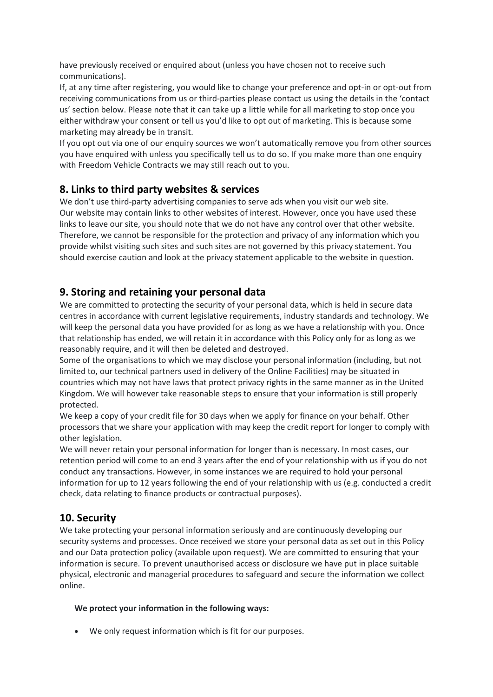have previously received or enquired about (unless you have chosen not to receive such communications).

If, at any time after registering, you would like to change your preference and opt-in or opt-out from receiving communications from us or third-parties please contact us using the details in the 'contact us' section below. Please note that it can take up a little while for all marketing to stop once you either withdraw your consent or tell us you'd like to opt out of marketing. This is because some marketing may already be in transit.

If you opt out via one of our enquiry sources we won't automatically remove you from other sources you have enquired with unless you specifically tell us to do so. If you make more than one enquiry with Freedom Vehicle Contracts we may still reach out to you.

### **8. Links to third party websites & services**

We don't use third-party advertising companies to serve ads when you visit our web site. Our website may contain links to other websites of interest. However, once you have used these links to leave our site, you should note that we do not have any control over that other website. Therefore, we cannot be responsible for the protection and privacy of any information which you provide whilst visiting such sites and such sites are not governed by this privacy statement. You should exercise caution and look at the privacy statement applicable to the website in question.

### **9. Storing and retaining your personal data**

We are committed to protecting the security of your personal data, which is held in secure data centres in accordance with current legislative requirements, industry standards and technology. We will keep the personal data you have provided for as long as we have a relationship with you. Once that relationship has ended, we will retain it in accordance with this Policy only for as long as we reasonably require, and it will then be deleted and destroyed.

Some of the organisations to which we may disclose your personal information (including, but not limited to, our technical partners used in delivery of the Online Facilities) may be situated in countries which may not have laws that protect privacy rights in the same manner as in the United Kingdom. We will however take reasonable steps to ensure that your information is still properly protected.

We keep a copy of your credit file for 30 days when we apply for finance on your behalf. Other processors that we share your application with may keep the credit report for longer to comply with other legislation.

We will never retain your personal information for longer than is necessary. In most cases, our retention period will come to an end 3 years after the end of your relationship with us if you do not conduct any transactions. However, in some instances we are required to hold your personal information for up to 12 years following the end of your relationship with us (e.g. conducted a credit check, data relating to finance products or contractual purposes).

### **10. Security**

We take protecting your personal information seriously and are continuously developing our security systems and processes. Once received we store your personal data as set out in this Policy and our Data protection policy (available upon request). We are committed to ensuring that your information is secure. To prevent unauthorised access or disclosure we have put in place suitable physical, electronic and managerial procedures to safeguard and secure the information we collect online.

#### **We protect your information in the following ways:**

We only request information which is fit for our purposes.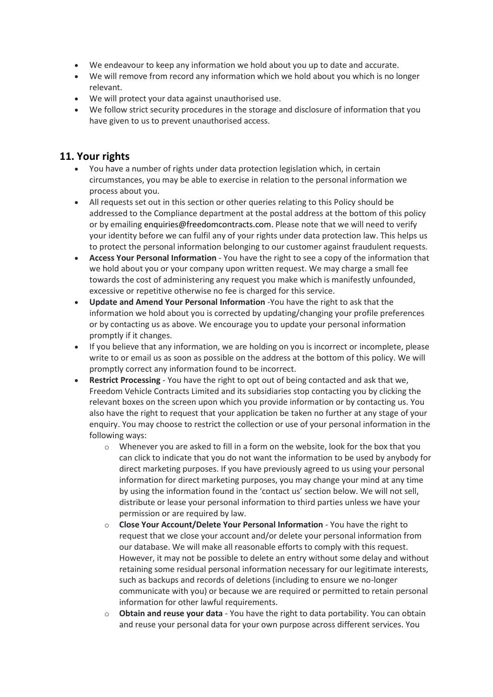- We endeavour to keep any information we hold about you up to date and accurate.
- We will remove from record any information which we hold about you which is no longer relevant.
- We will protect your data against unauthorised use.
- We follow strict security procedures in the storage and disclosure of information that you have given to us to prevent unauthorised access.

#### **11. Your rights**

- You have a number of rights under data protection legislation which, in certain circumstances, you may be able to exercise in relation to the personal information we process about you.
- All requests set out in this section or other queries relating to this Policy should be addressed to the Compliance department at the postal address at the bottom of this policy or by emailing enquiries@freedomcontracts.com. Please note that we will need to verify your identity before we can fulfil any of your rights under data protection law. This helps us to protect the personal information belonging to our customer against fraudulent requests.
- **Access Your Personal Information** You have the right to see a copy of the information that we hold about you or your company upon written request. We may charge a small fee towards the cost of administering any request you make which is manifestly unfounded, excessive or repetitive otherwise no fee is charged for this service.
- **Update and Amend Your Personal Information** -You have the right to ask that the information we hold about you is corrected by updating/changing your profile preferences or by contacting us as above. We encourage you to update your personal information promptly if it changes.
- If you believe that any information, we are holding on you is incorrect or incomplete, please write to or email us as soon as possible on the address at the bottom of this policy. We will promptly correct any information found to be incorrect.
- **Restrict Processing** You have the right to opt out of being contacted and ask that we, Freedom Vehicle Contracts Limited and its subsidiaries stop contacting you by clicking the relevant boxes on the screen upon which you provide information or by contacting us. You also have the right to request that your application be taken no further at any stage of your enquiry. You may choose to restrict the collection or use of your personal information in the following ways:
	- $\circ$  Whenever you are asked to fill in a form on the website, look for the box that you can click to indicate that you do not want the information to be used by anybody for direct marketing purposes. If you have previously agreed to us using your personal information for direct marketing purposes, you may change your mind at any time by using the information found in the 'contact us' section below. We will not sell, distribute or lease your personal information to third parties unless we have your permission or are required by law.
	- o **Close Your Account/Delete Your Personal Information** You have the right to request that we close your account and/or delete your personal information from our database. We will make all reasonable efforts to comply with this request. However, it may not be possible to delete an entry without some delay and without retaining some residual personal information necessary for our legitimate interests, such as backups and records of deletions (including to ensure we no-longer communicate with you) or because we are required or permitted to retain personal information for other lawful requirements.
	- o **Obtain and reuse your data** You have the right to data portability. You can obtain and reuse your personal data for your own purpose across different services. You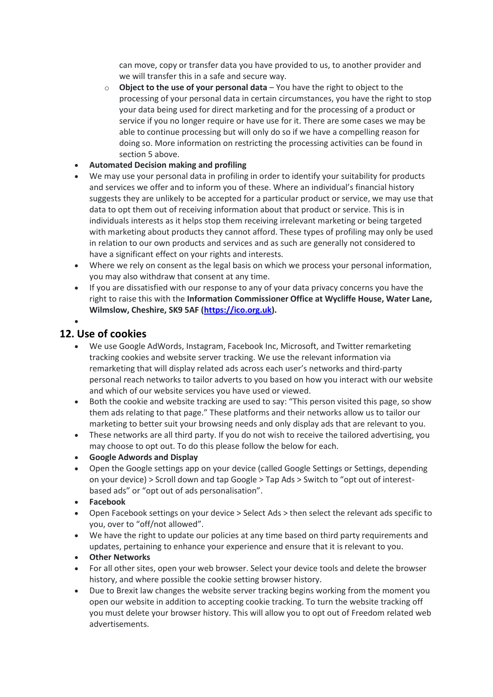can move, copy or transfer data you have provided to us, to another provider and we will transfer this in a safe and secure way.

- o **Object to the use of your personal data** You have the right to object to the processing of your personal data in certain circumstances, you have the right to stop your data being used for direct marketing and for the processing of a product or service if you no longer require or have use for it. There are some cases we may be able to continue processing but will only do so if we have a compelling reason for doing so. More information on restricting the processing activities can be found in section 5 above.
- **Automated Decision making and profiling**
- We may use your personal data in profiling in order to identify your suitability for products and services we offer and to inform you of these. Where an individual's financial history suggests they are unlikely to be accepted for a particular product or service, we may use that data to opt them out of receiving information about that product or service. This is in individuals interests as it helps stop them receiving irrelevant marketing or being targeted with marketing about products they cannot afford. These types of profiling may only be used in relation to our own products and services and as such are generally not considered to have a significant effect on your rights and interests.
- Where we rely on consent as the legal basis on which we process your personal information, you may also withdraw that consent at any time.
- If you are dissatisfied with our response to any of your data privacy concerns you have the right to raise this with the **Information Commissioner Office at Wycliffe House, Water Lane, Wilmslow, Cheshire, SK9 5AF [\(https://ico.org.uk\)](https://ico.org.uk/).**

### **12. Use of cookies**

 $\bullet$ 

- We use Google AdWords, Instagram, Facebook Inc, Microsoft, and Twitter remarketing tracking cookies and website server tracking. We use the relevant information via remarketing that will display related ads across each user's networks and third-party personal reach networks to tailor adverts to you based on how you interact with our website and which of our website services you have used or viewed.
- Both the cookie and website tracking are used to say: "This person visited this page, so show them ads relating to that page." These platforms and their networks allow us to tailor our marketing to better suit your browsing needs and only display ads that are relevant to you.
- These networks are all third party. If you do not wish to receive the tailored advertising, you may choose to opt out. To do this please follow the below for each.
- **Google Adwords and Display**
- Open the Google settings app on your device (called Google Settings or Settings, depending on your device) > Scroll down and tap Google > Tap Ads > Switch to "opt out of interestbased ads" or "opt out of ads personalisation".
- **Facebook**
- Open Facebook settings on your device > Select Ads > then select the relevant ads specific to you, over to "off/not allowed".
- We have the right to update our policies at any time based on third party requirements and updates, pertaining to enhance your experience and ensure that it is relevant to you.
- **Other Networks**
- For all other sites, open your web browser. Select your device tools and delete the browser history, and where possible the cookie setting browser history.
- Due to Brexit law changes the website server tracking begins working from the moment you open our website in addition to accepting cookie tracking. To turn the website tracking off you must delete your browser history. This will allow you to opt out of Freedom related web advertisements.